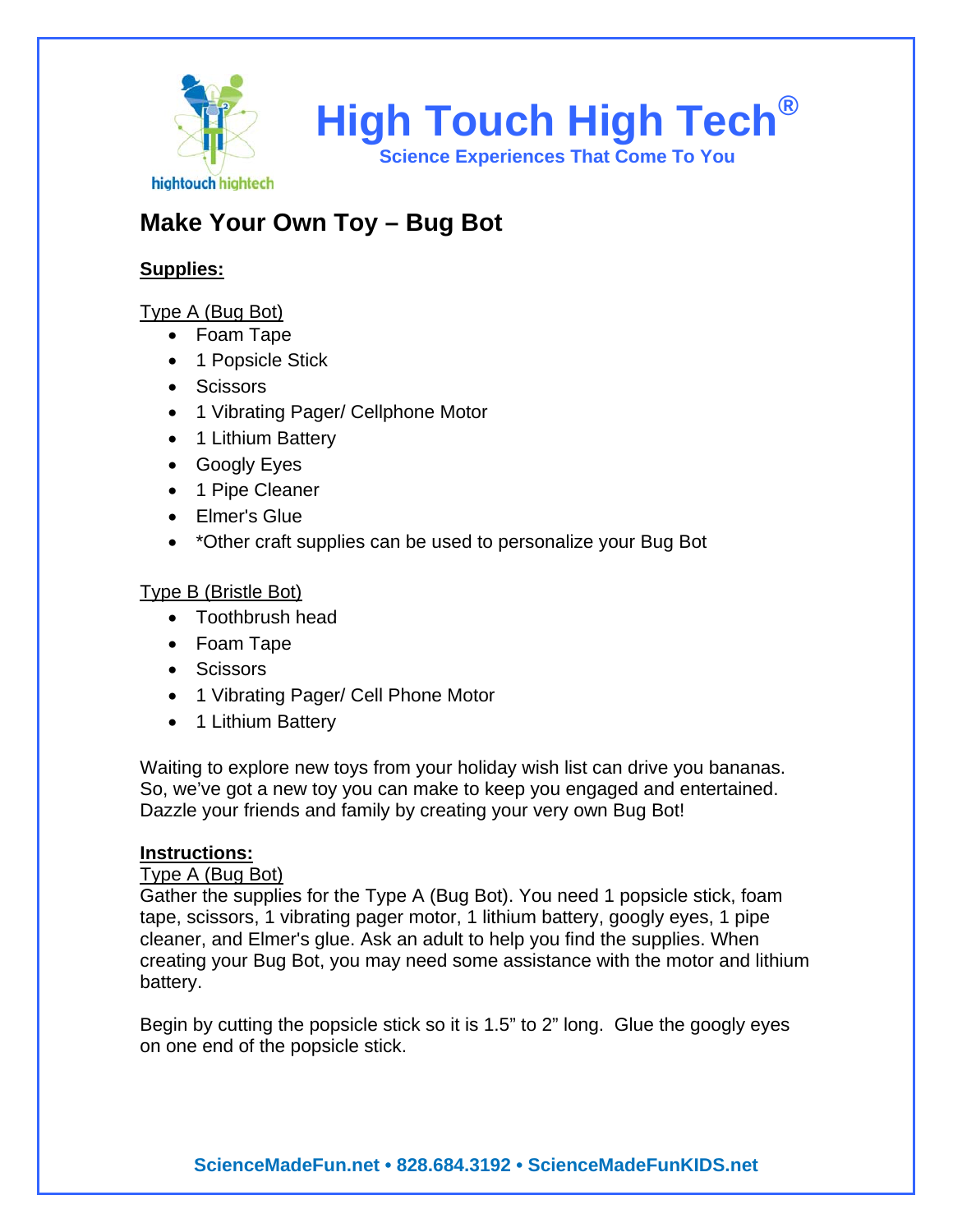

# **Make Your Own Toy – Bug Bot**

## **Supplies:**

# Type A (Bug Bot)

- Foam Tape
- 1 Popsicle Stick
- Scissors
- 1 Vibrating Pager/ Cellphone Motor
- 1 Lithium Battery
- Googly Eyes
- 1 Pipe Cleaner
- Elmer's Glue
- \*Other craft supplies can be used to personalize your Bug Bot

## Type B (Bristle Bot)

- Toothbrush head
- Foam Tape
- Scissors
- 1 Vibrating Pager/ Cell Phone Motor
- 1 Lithium Battery

Waiting to explore new toys from your holiday wish list can drive you bananas. So, we've got a new toy you can make to keep you engaged and entertained. Dazzle your friends and family by creating your very own Bug Bot!

## **Instructions:**

#### Type A (Bug Bot)

Gather the supplies for the Type A (Bug Bot). You need 1 popsicle stick, foam tape, scissors, 1 vibrating pager motor, 1 lithium battery, googly eyes, 1 pipe cleaner, and Elmer's glue. Ask an adult to help you find the supplies. When creating your Bug Bot, you may need some assistance with the motor and lithium battery.

Begin by cutting the popsicle stick so it is 1.5" to 2" long. Glue the googly eyes on one end of the popsicle stick.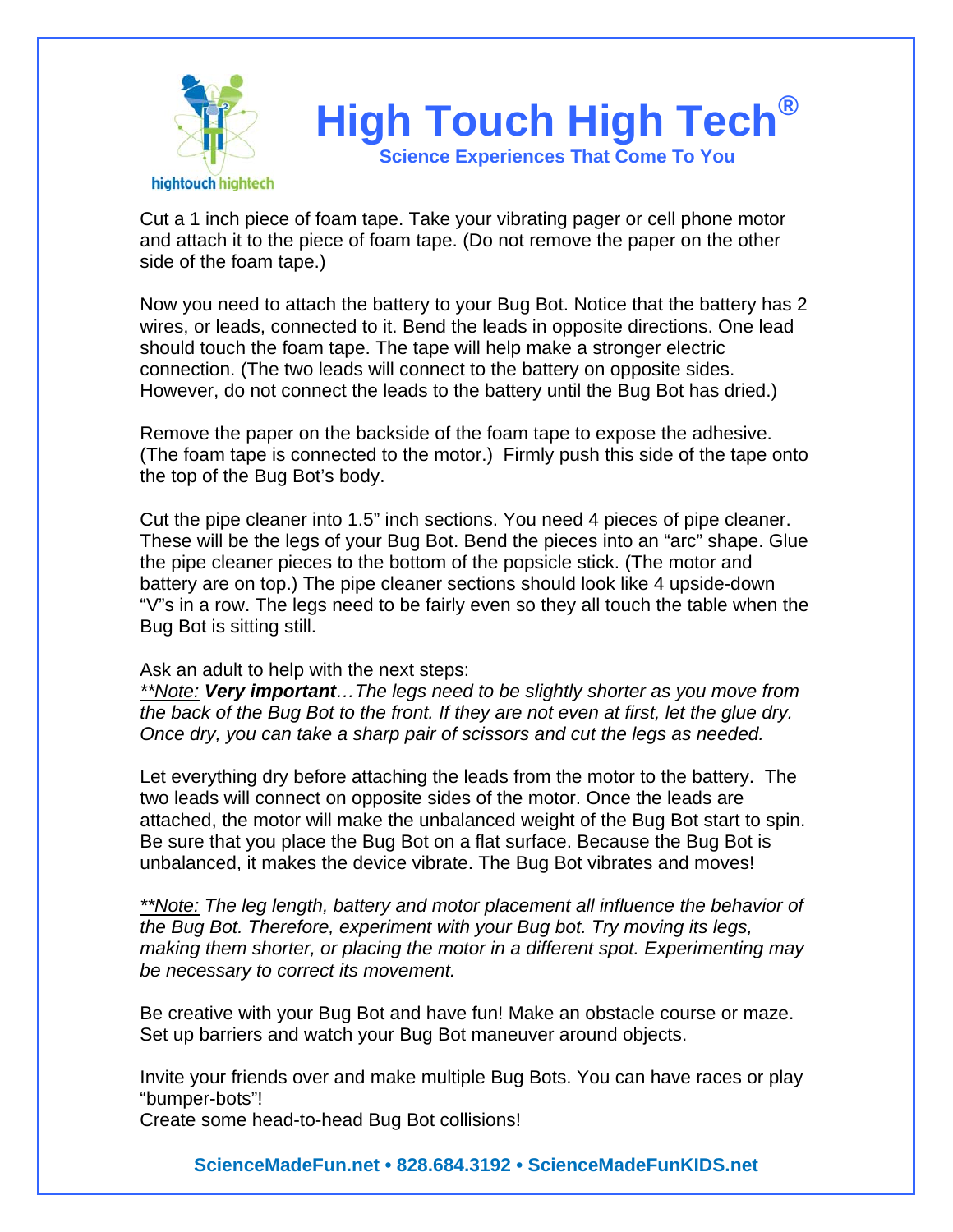

Cut a 1 inch piece of foam tape. Take your vibrating pager or cell phone motor and attach it to the piece of foam tape. (Do not remove the paper on the other side of the foam tape.)

Now you need to attach the battery to your Bug Bot. Notice that the battery has 2 wires, or leads, connected to it. Bend the leads in opposite directions. One lead should touch the foam tape. The tape will help make a stronger electric connection. (The two leads will connect to the battery on opposite sides. However, do not connect the leads to the battery until the Bug Bot has dried.)

Remove the paper on the backside of the foam tape to expose the adhesive. (The foam tape is connected to the motor.) Firmly push this side of the tape onto the top of the Bug Bot's body.

Cut the pipe cleaner into 1.5" inch sections. You need 4 pieces of pipe cleaner. These will be the legs of your Bug Bot. Bend the pieces into an "arc" shape. Glue the pipe cleaner pieces to the bottom of the popsicle stick. (The motor and battery are on top.) The pipe cleaner sections should look like 4 upside-down "V"s in a row. The legs need to be fairly even so they all touch the table when the Bug Bot is sitting still.

Ask an adult to help with the next steps:

*\*\*Note: Very important…The legs need to be slightly shorter as you move from the back of the Bug Bot to the front. If they are not even at first, let the glue dry. Once dry, you can take a sharp pair of scissors and cut the legs as needed.* 

Let everything dry before attaching the leads from the motor to the battery. The two leads will connect on opposite sides of the motor. Once the leads are attached, the motor will make the unbalanced weight of the Bug Bot start to spin. Be sure that you place the Bug Bot on a flat surface. Because the Bug Bot is unbalanced, it makes the device vibrate. The Bug Bot vibrates and moves!

*\*\*Note: The leg length, battery and motor placement all influence the behavior of the Bug Bot. Therefore, experiment with your Bug bot. Try moving its legs, making them shorter, or placing the motor in a different spot. Experimenting may be necessary to correct its movement.* 

Be creative with your Bug Bot and have fun! Make an obstacle course or maze. Set up barriers and watch your Bug Bot maneuver around objects.

Invite your friends over and make multiple Bug Bots. You can have races or play "bumper-bots"!

Create some head-to-head Bug Bot collisions!

**ScienceMadeFun.net • 828.684.3192 • ScienceMadeFunKIDS.net**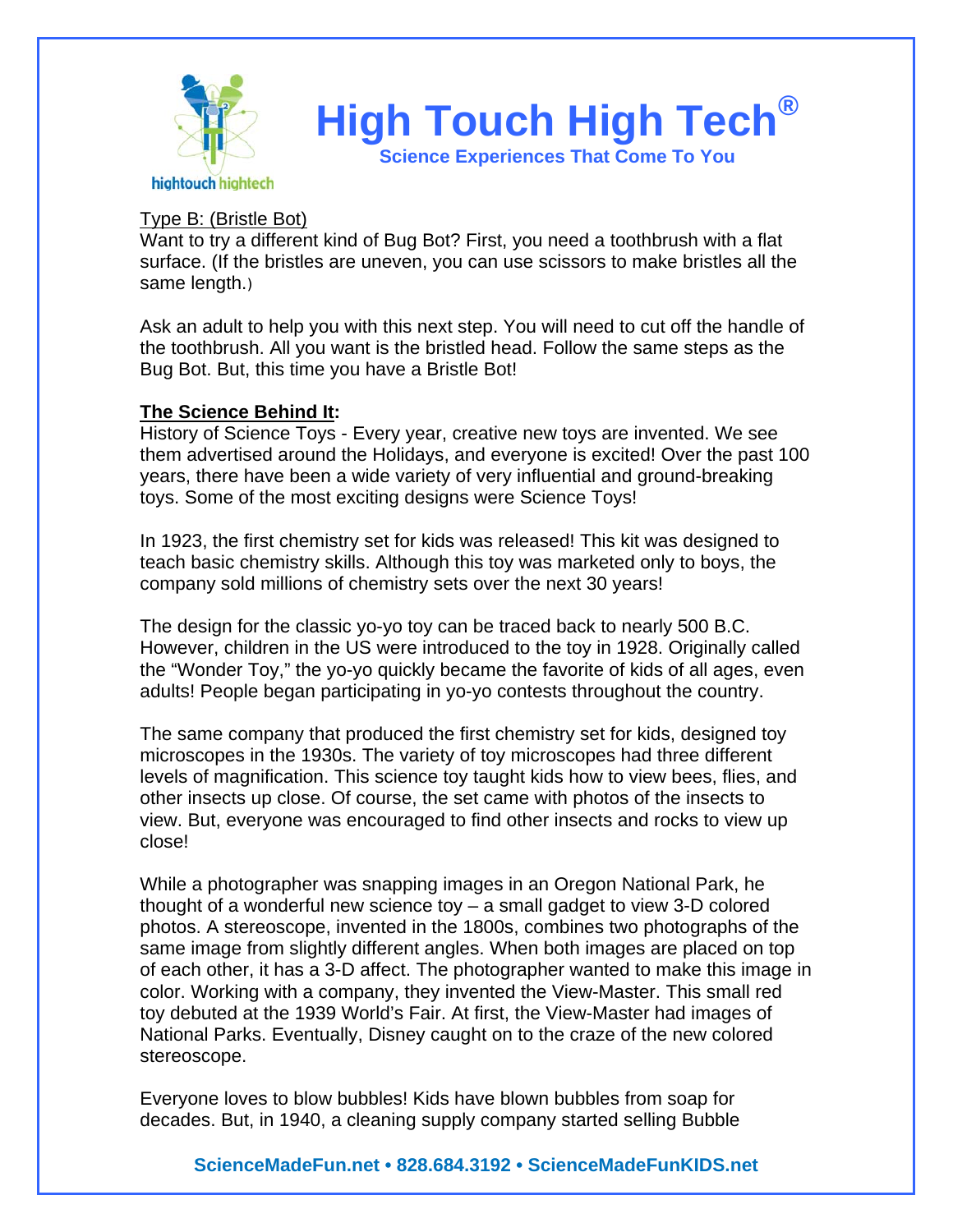

#### Type B: (Bristle Bot)

Want to try a different kind of Bug Bot? First, you need a toothbrush with a flat surface. (If the bristles are uneven, you can use scissors to make bristles all the same length.)

Ask an adult to help you with this next step. You will need to cut off the handle of the toothbrush. All you want is the bristled head. Follow the same steps as the Bug Bot. But, this time you have a Bristle Bot!

#### **The Science Behind It:**

History of Science Toys - Every year, creative new toys are invented. We see them advertised around the Holidays, and everyone is excited! Over the past 100 years, there have been a wide variety of very influential and ground-breaking toys. Some of the most exciting designs were Science Toys!

In 1923, the first chemistry set for kids was released! This kit was designed to teach basic chemistry skills. Although this toy was marketed only to boys, the company sold millions of chemistry sets over the next 30 years!

The design for the classic yo-yo toy can be traced back to nearly 500 B.C. However, children in the US were introduced to the toy in 1928. Originally called the "Wonder Toy," the yo-yo quickly became the favorite of kids of all ages, even adults! People began participating in yo-yo contests throughout the country.

The same company that produced the first chemistry set for kids, designed toy microscopes in the 1930s. The variety of toy microscopes had three different levels of magnification. This science toy taught kids how to view bees, flies, and other insects up close. Of course, the set came with photos of the insects to view. But, everyone was encouraged to find other insects and rocks to view up close!

While a photographer was snapping images in an Oregon National Park, he thought of a wonderful new science toy – a small gadget to view 3-D colored photos. A stereoscope, invented in the 1800s, combines two photographs of the same image from slightly different angles. When both images are placed on top of each other, it has a 3-D affect. The photographer wanted to make this image in color. Working with a company, they invented the View-Master. This small red toy debuted at the 1939 World's Fair. At first, the View-Master had images of National Parks. Eventually, Disney caught on to the craze of the new colored stereoscope.

Everyone loves to blow bubbles! Kids have blown bubbles from soap for decades. But, in 1940, a cleaning supply company started selling Bubble

## **ScienceMadeFun.net • 828.684.3192 • ScienceMadeFunKIDS.net**